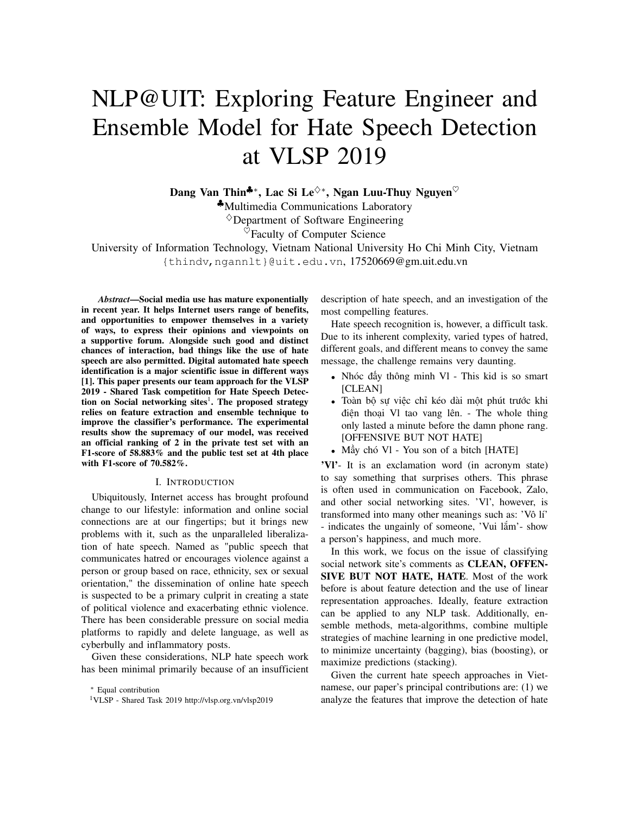# NLP@UIT: Exploring Feature Engineer and Ensemble Model for Hate Speech Detection at VLSP 2019

Dang Van Thin<sup>‡∗</sup>, Lac Si Le<sup> $\diamond*$ </sup>, Ngan Luu-Thuy Nguyen<sup>♡</sup> ♣Multimedia Communications Laboratory  $\Diamond$ Department of Software Engineering  $\heartsuit$ Faculty of Computer Science

University of Information Technology, Vietnam National University Ho Chi Minh City, Vietnam {thindv,ngannlt}@uit.edu.vn, 17520669@gm.uit.edu.vn

*Abstract***—Social media use has mature exponentially in recent year. It helps Internet users range of benefits, and opportunities to empower themselves in a variety of ways, to express their opinions and viewpoints on a supportive forum. Alongside such good and distinct chances of interaction, bad things like the use of hate speech are also permitted. Digital automated hate speech identification is a major scientific issue in different ways [1]. This paper presents our team approach for the VLSP 2019 - Shared Task competition for Hate Speech Detection on Social networking sites**<sup>1</sup> **. The proposed strategy relies on feature extraction and ensemble technique to improve the classifier's performance. The experimental results show the supremacy of our model, was received an official ranking of 2 in the private test set with an F1-score of 58.883% and the public test set at 4th place with F1-score of 70.582%.**

#### I. INTRODUCTION

Ubiquitously, Internet access has brought profound change to our lifestyle: information and online social connections are at our fingertips; but it brings new problems with it, such as the unparalleled liberalization of hate speech. Named as "public speech that communicates hatred or encourages violence against a person or group based on race, ethnicity, sex or sexual orientation," the dissemination of online hate speech is suspected to be a primary culprit in creating a state of political violence and exacerbating ethnic violence. There has been considerable pressure on social media platforms to rapidly and delete language, as well as cyberbully and inflammatory posts.

Given these considerations, NLP hate speech work has been minimal primarily because of an insufficient description of hate speech, and an investigation of the most compelling features.

Hate speech recognition is, however, a difficult task. Due to its inherent complexity, varied types of hatred, different goals, and different means to convey the same message, the challenge remains very daunting.

- Nhóc đấy thông minh Vl This kid is so smart [CLEAN]
- Toàn bộ sự việc chỉ kéo dài một phút trước khi điện thoại Vl tao vang lên. - The whole thing only lasted a minute before the damn phone rang. [OFFENSIVE BUT NOT HATE]
- Mầy chó VI You son of a bitch [HATE]

**'Vl'**- It is an exclamation word (in acronym state) to say something that surprises others. This phrase is often used in communication on Facebook, Zalo, and other social networking sites. 'Vl', however, is transformed into many other meanings such as: 'Vô lí' - indicates the ungainly of someone, 'Vui lắm'- show a person's happiness, and much more.

In this work, we focus on the issue of classifying social network site's comments as **CLEAN, OFFEN-SIVE BUT NOT HATE, HATE**. Most of the work before is about feature detection and the use of linear representation approaches. Ideally, feature extraction can be applied to any NLP task. Additionally, ensemble methods, meta-algorithms, combine multiple strategies of machine learning in one predictive model, to minimize uncertainty (bagging), bias (boosting), or maximize predictions (stacking).

Given the current hate speech approaches in Vietnamese, our paper's principal contributions are: (1) we analyze the features that improve the detection of hate

<sup>∗</sup> Equal contribution

<sup>1</sup>VLSP - Shared Task 2019 http://vlsp.org.vn/vlsp2019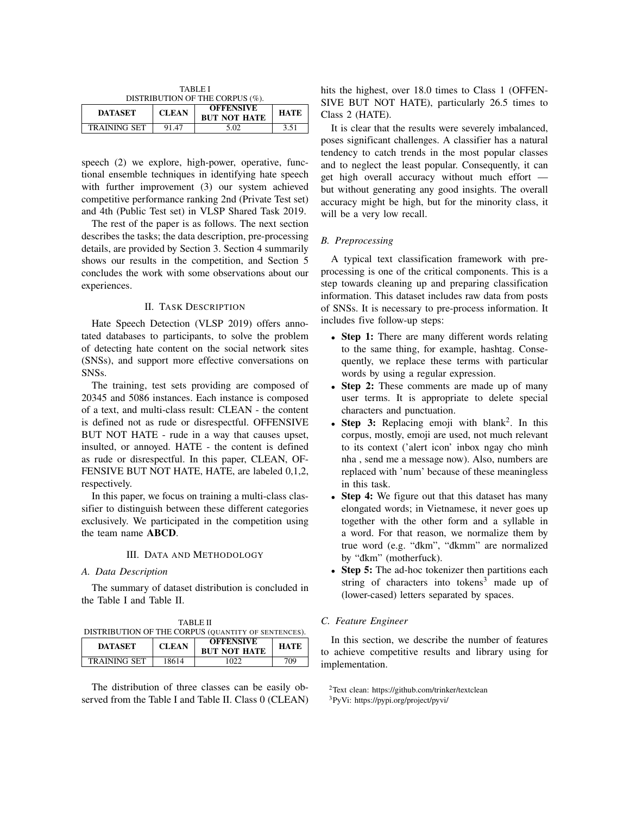| TABLE I                         |              |                                         |             |
|---------------------------------|--------------|-----------------------------------------|-------------|
| DISTRIBUTION OF THE CORPUS (%). |              |                                         |             |
| <b>DATASET</b>                  | <b>CLEAN</b> | <b>OFFENSIVE</b><br><b>BUT NOT HATE</b> | <b>HATE</b> |
| <b>TRAINING SET</b>             | 91.47        | 5.02                                    | 3.51        |

speech (2) we explore, high-power, operative, functional ensemble techniques in identifying hate speech with further improvement (3) our system achieved competitive performance ranking 2nd (Private Test set) and 4th (Public Test set) in VLSP Shared Task 2019.

The rest of the paper is as follows. The next section describes the tasks; the data description, pre-processing details, are provided by Section 3. Section 4 summarily shows our results in the competition, and Section 5 concludes the work with some observations about our experiences.

## II. TASK DESCRIPTION

Hate Speech Detection (VLSP 2019) offers annotated databases to participants, to solve the problem of detecting hate content on the social network sites (SNSs), and support more effective conversations on SNSs.

The training, test sets providing are composed of 20345 and 5086 instances. Each instance is composed of a text, and multi-class result: CLEAN - the content is defined not as rude or disrespectful. OFFENSIVE BUT NOT HATE - rude in a way that causes upset, insulted, or annoyed. HATE - the content is defined as rude or disrespectful. In this paper, CLEAN, OF-FENSIVE BUT NOT HATE, HATE, are labeled 0,1,2, respectively.

In this paper, we focus on training a multi-class classifier to distinguish between these different categories exclusively. We participated in the competition using the team name **ABCD**.

## III. DATA AND METHODOLOGY

## *A. Data Description*

The summary of dataset distribution is concluded in the Table I and Table II.

 $T_{\rm{H}}$ 

|                     | TA DIJE II<br>DISTRIBUTION OF THE CORPUS (QUANTITY OF SENTENCES). |                                         |             |
|---------------------|-------------------------------------------------------------------|-----------------------------------------|-------------|
| <b>DATASET</b>      | <b>CLEAN</b>                                                      | <b>OFFENSIVE</b><br><b>BUT NOT HATE</b> | <b>HATE</b> |
| <b>TRAINING SET</b> | 18614                                                             | 1022                                    | 709         |

The distribution of three classes can be easily observed from the Table I and Table II. Class 0 (CLEAN) hits the highest, over 18.0 times to Class 1 (OFFEN-SIVE BUT NOT HATE), particularly 26.5 times to Class 2 (HATE).

It is clear that the results were severely imbalanced, poses significant challenges. A classifier has a natural tendency to catch trends in the most popular classes and to neglect the least popular. Consequently, it can get high overall accuracy without much effort but without generating any good insights. The overall accuracy might be high, but for the minority class, it will be a very low recall.

## *B. Preprocessing*

A typical text classification framework with preprocessing is one of the critical components. This is a step towards cleaning up and preparing classification information. This dataset includes raw data from posts of SNSs. It is necessary to pre-process information. It includes five follow-up steps:

- **Step 1:** There are many different words relating to the same thing, for example, hashtag. Consequently, we replace these terms with particular words by using a regular expression.
- **Step 2:** These comments are made up of many user terms. It is appropriate to delete special characters and punctuation.
- Step 3: Replacing emoji with blank<sup>2</sup>. In this corpus, mostly, emoji are used, not much relevant to its context ('alert icon' inbox ngay cho mình nha , send me a message now). Also, numbers are replaced with 'num' because of these meaningless in this task.
- **Step 4:** We figure out that this dataset has many elongated words; in Vietnamese, it never goes up together with the other form and a syllable in a word. For that reason, we normalize them by true word (e.g. "đkm", "đkmm" are normalized by "đkm" (motherfuck).
- **Step 5:** The ad-hoc tokenizer then partitions each string of characters into tokens<sup>3</sup> made up of (lower-cased) letters separated by spaces.

## *C. Feature Engineer*

In this section, we describe the number of features to achieve competitive results and library using for implementation.

<sup>2</sup>Text clean: https://github.com/trinker/textclean

<sup>3</sup>PyVi: https://pypi.org/project/pyvi/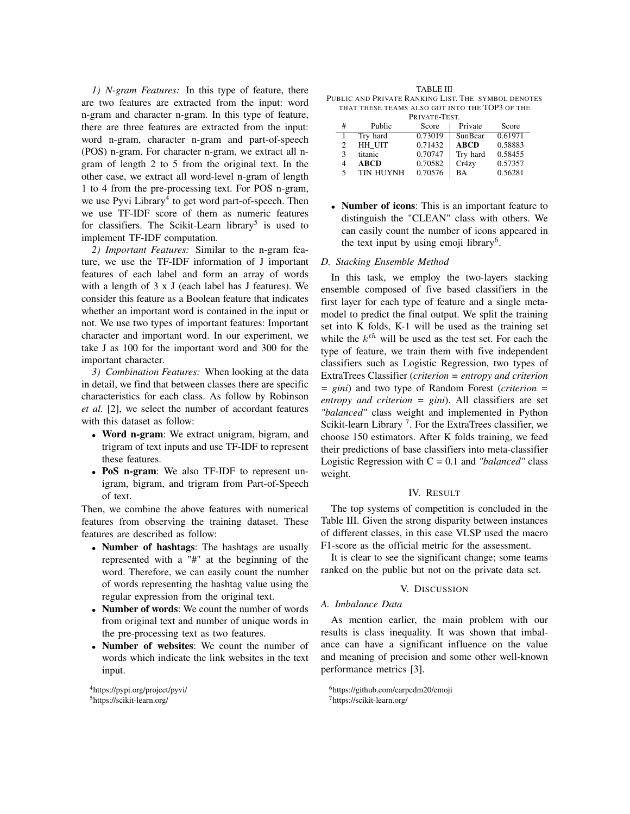*1) N-gram Features:* In this type of feature, there are two features are extracted from the input: word n-gram and character n-gram. In this type of feature, there are three features are extracted from the input: word n-gram, character n-gram and part-of-speech (POS) n-gram. For character n-gram, we extract all ngram of length 2 to 5 from the original text. In the other case, we extract all word-level n-gram of length 1 to 4 from the pre-processing text. For POS n-gram, we use Pyvi Library<sup>4</sup> to get word part-of-speech. Then we use TF-IDF score of them as numeric features for classifiers. The Scikit-Learn library<sup>5</sup> is used to implement TF-IDF computation.

*2) Important Features:* Similar to the n-gram feature, we use the TF-IDF information of J important features of each label and form an array of words with a length of 3 x J (each label has J features). We consider this feature as a Boolean feature that indicates whether an important word is contained in the input or not. We use two types of important features: Important character and important word. In our experiment, we take J as 100 for the important word and 300 for the important character.

*3) Combination Features:* When looking at the data in detail, we find that between classes there are specific characteristics for each class. As follow by Robinson *et al.* [2], we select the number of accordant features with this dataset as follow:

- **Word n-gram**: We extract unigram, bigram, and trigram of text inputs and use TF-IDF to represent these features.
- **PoS n-gram**: We also TF-IDF to represent unigram, bigram, and trigram from Part-of-Speech of text.

Then, we combine the above features with numerical features from observing the training dataset. These features are described as follow:

- **Number of hashtags**: The hashtags are usually represented with a "#" at the beginning of the word. Therefore, we can easily count the number of words representing the hashtag value using the regular expression from the original text.
- **Number of words**: We count the number of words from original text and number of unique words in the pre-processing text as two features.
- **Number of websites**: We count the number of words which indicate the link websites in the text input.

TABLE III PUBLIC AND PRIVATE RANKING LIST. THE SYMBOL DENOTES THAT THESE TEAMS ALSO GOT INTO THE TOP3 OF THE

| PRIVATE-TEST. |                  |         |             |         |
|---------------|------------------|---------|-------------|---------|
| #             | Public           | Score   | Private     | Score   |
|               | Try hard         | 0.73019 | SunBear     | 0.61971 |
| 2             | HH UIT           | 0.71432 | <b>ABCD</b> | 0.58883 |
| $\mathcal{F}$ | titanic          | 0.70747 | Try hard    | 0.58455 |
| 4             | <b>ABCD</b>      | 0.70582 | Cr4zy       | 0.57357 |
| 5             | <b>TIN HUYNH</b> | 0.70576 | <b>BA</b>   | 0.56281 |

• **Number of icons**: This is an important feature to distinguish the "CLEAN" class with others. We can easily count the number of icons appeared in the text input by using emoji library<sup>6</sup>.

## *D. Stacking Ensemble Method*

In this task, we employ the two-layers stacking ensemble composed of five based classifiers in the first layer for each type of feature and a single metamodel to predict the final output. We split the training set into K folds, K-1 will be used as the training set while the  $k^{th}$  will be used as the test set. For each the type of feature, we train them with five independent classifiers such as Logistic Regression, two types of ExtraTrees Classifier (*criterion = entropy and criterion = gini*) and two type of Random Forest (*criterion = entropy and criterion = gini*). All classifiers are set *"balanced"* class weight and implemented in Python Scikit-learn Library<sup>7</sup>. For the ExtraTrees classifier, we choose 150 estimators. After K folds training, we feed their predictions of base classifiers into meta-classifier Logistic Regression with C = 0.1 and *"balanced"* class weight.

## IV. RESULT

The top systems of competition is concluded in the Table III. Given the strong disparity between instances of different classes, in this case VLSP used the macro F1-score as the official metric for the assessment.

It is clear to see the significant change; some teams ranked on the public but not on the private data set.

### V. DISCUSSION

## *A. Imbalance Data*

As mention earlier, the main problem with our results is class inequality. It was shown that imbalance can have a significant influence on the value and meaning of precision and some other well-known performance metrics [3].

<sup>6</sup>https://github.com/carpedm20/emoji <sup>7</sup>https://scikit-learn.org/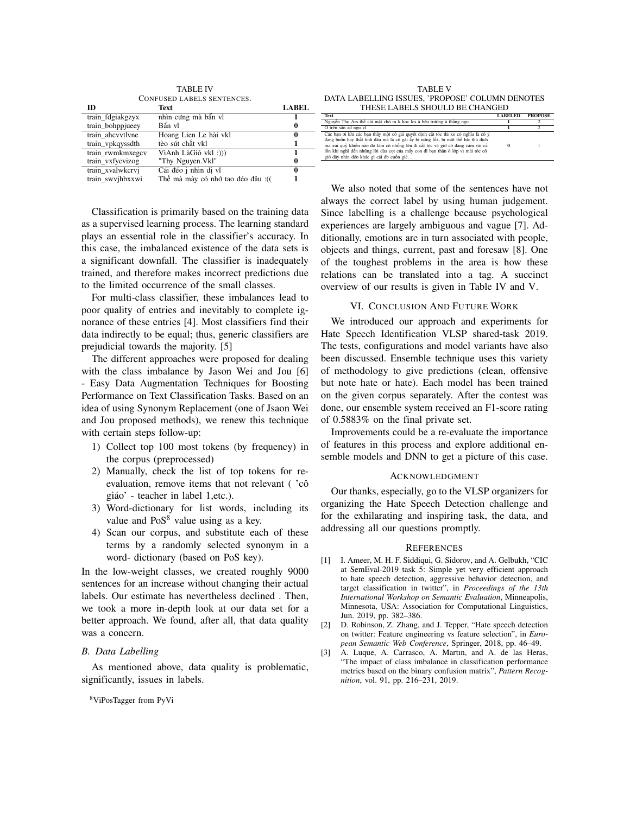**TABLE IV CONFUSED LABELS SENTENCES. Text** 

| ID               | <b>Text</b>                      | <b>LABEL</b> |
|------------------|----------------------------------|--------------|
| train_fdgiakgzyx | nhìn cưng mà bẩn vì              |              |
| train_bohppjueey | Bẩn vl                           | 0            |
| train ahcvvtlvne | Hoang Lien Le hài vkl            | 0            |
| train_vpkqyssdth | tèo sút chất vkl                 |              |
| train_rwmkmxegcv | VìAnh LàGió vkl :)))             |              |
| train_vxfycvizog | "Thy Nguyen. Vkl"                | 0            |
| train_xvalwkcrvi | Cái đéo j nhìn di vl             | 0            |
| train swyihhxxwi | Thế mà mày có nhớ tạo đéo đâu (( |              |

Classification is primarily based on the training data as a supervised learning process. The learning standard plays an essential role in the classifier's accuracy. In this case, the imbalanced existence of the data sets is a significant downfall. The classifier is inadequately trained, and therefore makes incorrect predictions due to the limited occurrence of the small classes.

For multi-class classifier, these imbalances lead to poor quality of entries and inevitably to complete ignorance of these entries [4]. Most classifiers find their data indirectly to be equal; thus, generic classifiers are prejudicial towards the majority. [5]

The different approaches were proposed for dealing with the class imbalance by Jason Wei and Jou [6] - Easy Data Augmentation Techniques for Boosting Performance on Text Classification Tasks. Based on an idea of using Synonym Replacement (one of Jsaon Wei and Jou proposed methods), we renew this technique with certain steps follow-up:

- 1) Collect top 100 most tokens (by frequency) in the corpus (preprocessed)
- 2) Manually, check the list of top tokens for reevaluation, remove items that not relevant ('cô giáo' - teacher in label 1, etc.).
- 3) Word-dictionary for list words, including its value and  $PoS<sup>8</sup>$  value using as a key.
- 4) Scan our corpus, and substitute each of these terms by a randomly selected synonym in a word- dictionary (based on PoS key).

In the low-weight classes, we created roughly 9000 sentences for an increase without changing their actual labels. Our estimate has nevertheless declined. Then, we took a more in-depth look at our data set for a better approach. We found, after all, that data quality was a concern.

### **B.** Data Labelling

As mentioned above, data quality is problematic, significantly, issues in labels.

<sup>8</sup>ViPosTagger from PyVi

**TABLE V** DATA LABELLING ISSUES, 'PROPOSE' COLUMN DENOTES

| THESE LABELS SHOULD BE CHANGED                                                                                                                                                                                                                                                                                                                                                          |                |                |
|-----------------------------------------------------------------------------------------------------------------------------------------------------------------------------------------------------------------------------------------------------------------------------------------------------------------------------------------------------------------------------------------|----------------|----------------|
| Text                                                                                                                                                                                                                                                                                                                                                                                    | <b>LABELED</b> | <b>PROPOSE</b> |
| Nguyễn Tho Ars thế cái mặt chó m k hoc lcs à bêu trường à thằng ngu                                                                                                                                                                                                                                                                                                                     |                |                |
| Ở trên sân ad ngu vl                                                                                                                                                                                                                                                                                                                                                                    |                |                |
| Các ban ơi khi các ban thấy một cô gái quyết đinh cắt tóc thì ko có nghĩa là cô ý<br>đang buồn hay thất tình đâu mà là cô gái ấy bi nứng lồz, bi môt thế lưc thù đích<br>ma xui quỷ khiến nào đó làm cô nhồng lên đi cắt tóc và giờ cô đang căm vãi cả<br>lồn khi nghĩ đến những lời đùa cơt của mấy con đĩ ban thân ở lớp vì mái tóc cô<br>giờ đây nhìn đéo khác gì cái đb cuốn giẻ. . |                |                |

We also noted that some of the sentences have not always the correct label by using human judgement. Since labelling is a challenge because psychological experiences are largely ambiguous and vague [7]. Additionally, emotions are in turn associated with people, objects and things, current, past and foresaw [8]. One of the toughest problems in the area is how these relations can be translated into a tag. A succinct overview of our results is given in Table IV and V.

#### VI. CONCLUSION AND FUTURE WORK

We introduced our approach and experiments for Hate Speech Identification VLSP shared-task 2019. The tests, configurations and model variants have also been discussed. Ensemble technique uses this variety of methodology to give predictions (clean, offensive but note hate or hate). Each model has been trained on the given corpus separately. After the contest was done, our ensemble system received an F1-score rating of 0.5883% on the final private set.

Improvements could be a re-evaluate the importance of features in this process and explore additional ensemble models and DNN to get a picture of this case.

#### ACKNOWLEDGMENT

Our thanks, especially, go to the VLSP organizers for organizing the Hate Speech Detection challenge and for the exhilarating and inspiring task, the data, and addressing all our questions promptly.

#### **REFERENCES**

- [1] I. Ameer, M. H. F. Siddiqui, G. Sidorov, and A. Gelbukh, "CIC at SemEval-2019 task 5: Simple yet very efficient approach to hate speech detection, aggressive behavior detection, and target classification in twitter", in Proceedings of the 13th International Workshop on Semantic Evaluation, Minneapolis, Minnesota, USA: Association for Computational Linguistics, Jun. 2019, pp. 382-386.
- $\lceil 2 \rceil$ D. Robinson, Z. Zhang, and J. Tepper, "Hate speech detection on twitter: Feature engineering vs feature selection", in European Semantic Web Conference, Springer, 2018, pp. 46-49.
- $[3]$ A. Luque, A. Carrasco, A. Martin, and A. de las Heras, "The impact of class imbalance in classification performance metrics based on the binary confusion matrix". Pattern Recognition, vol. 91, pp. 216-231, 2019.